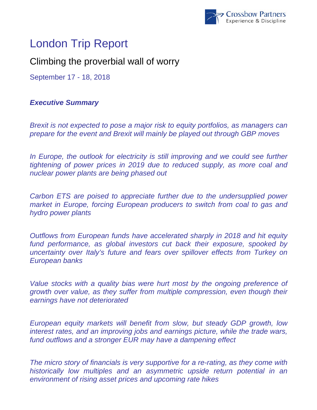

# London Trip Report

## Climbing the proverbial wall of worry

September 17 - 18, 2018

### *Executive Summary*

*Brexit is not expected to pose a major risk to equity portfolios, as managers can prepare for the event and Brexit will mainly be played out through GBP moves* 

In Europe, the outlook for electricity is still improving and we could see further *tightening of power prices in 2019 due to reduced supply, as more coal and nuclear power plants are being phased out* 

*Carbon ETS are poised to appreciate further due to the undersupplied power market in Europe, forcing European producers to switch from coal to gas and hydro power plants* 

*Outflows from European funds have accelerated sharply in 2018 and hit equity fund performance, as global investors cut back their exposure, spooked by uncertainty over Italy's future and fears over spillover effects from Turkey on European banks* 

*Value stocks with a quality bias were hurt most by the ongoing preference of growth over value, as they suffer from multiple compression, even though their earnings have not deteriorated* 

*European equity markets will benefit from slow, but steady GDP growth, low interest rates, and an improving jobs and earnings picture, while the trade wars, fund outflows and a stronger EUR may have a dampening effect* 

*The micro story of financials is very supportive for a re-rating, as they come with historically low multiples and an asymmetric upside return potential in an environment of rising asset prices and upcoming rate hikes*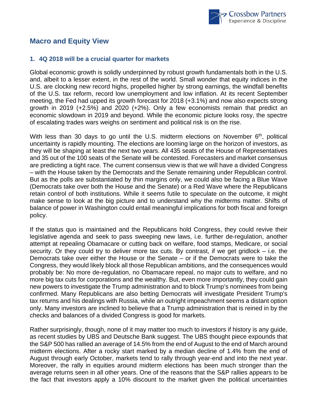

#### **Macro and Equity View**

#### **1. 4Q 2018 will be a crucial quarter for markets**

Global economic growth is solidly underpinned by robust growth fundamentals both in the U.S. and, albeit to a lesser extent, in the rest of the world. Small wonder that equity indices in the U.S. are clocking new record highs, propelled higher by strong earnings, the windfall benefits of the U.S. tax reform, record low unemployment and low inflation. At its recent September meeting, the Fed had upped its growth forecast for 2018 (+3.1%) and now also expects strong growth in 2019 (+2.5%) and 2020 (+2%). Only a few economists remain that predict an economic slowdown in 2019 and beyond. While the economic picture looks rosy, the spectre of escalating trades wars weighs on sentiment and political risk is on the rise.

With less than 30 days to go until the U.S. midterm elections on November  $6<sup>th</sup>$ , political uncertainty is rapidly mounting. The elections are looming large on the horizon of investors, as they will be shaping at least the next two years. All 435 seats of the House of Representatives and 35 out of the 100 seats of the Senate will be contested. Forecasters and market consensus are predicting a tight race. The current consensus view is that we will have a divided Congress – with the House taken by the Democrats and the Senate remaining under Republican control. But as the polls are substantiated by thin margins only, we could also be facing a Blue Wave (Democrats take over both the House and the Senate) or a Red Wave where the Republicans retain control of both institutions. While it seems futile to speculate on the outcome, it might make sense to look at the big picture and to understand why the midterms matter. Shifts of balance of power in Washington could entail meaningful implications for both fiscal and foreign policy.

If the status quo is maintained and the Republicans hold Congress, they could revive their legislative agenda and seek to pass sweeping new laws, i.e. further de-regulation, another attempt at repealing Obamacare or cutting back on welfare, food stamps, Medicare, or social security. Or they could try to deliver more tax cuts. By contrast, if we get gridlock  $-$  i.e. the Democrats take over either the House or the Senate – or if the Democrats were to take the Congress, they would likely block all those Republican ambitions, and the consequences would probably be: No more de-regulation, no Obamacare repeal, no major cuts to welfare, and no more big tax cuts for corporations and the wealthy. But, even more importantly, they could gain new powers to investigate the Trump administration and to block Trump's nominees from being confirmed. Many Republicans are also betting Democrats will investigate President Trump's tax returns and his dealings with Russia, while an outright impeachment seems a distant option only. Many investors are inclined to believe that a Trump administration that is reined in by the checks and balances of a divided Congress is good for markets.

Rather surprisingly, though, none of it may matter too much to investors if history is any guide, as recent studies by UBS and Deutsche Bank suggest. The UBS thought piece expounds that the S&P 500 has rallied an average of 14.5% from the end of August to the end of March around midterm elections. After a rocky start marked by a median decline of 1.4% from the end of August through early October, markets tend to rally through year-end and into the next year. Moreover, the rally in equities around midterm elections has been much stronger than the average returns seen in all other years. One of the reasons that the S&P rallies appears to be the fact that investors apply a 10% discount to the market given the political uncertainties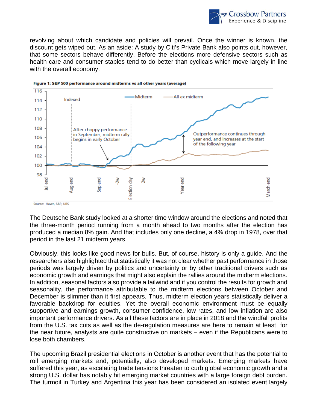

revolving about which candidate and policies will prevail. Once the winner is known, the discount gets wiped out. As an aside: A study by Citi's Private Bank also points out, however, that some sectors behave differently. Before the elections more defensive sectors such as health care and consumer staples tend to do better than cyclicals which move largely in line with the overall economy.





The Deutsche Bank study looked at a shorter time window around the elections and noted that the three-month period running from a month ahead to two months after the election has produced a median 8% gain. And that includes only one decline, a 4% drop in 1978, over that period in the last 21 midterm years.

Obviously, this looks like good news for bulls. But, of course, history is only a guide. And the researchers also highlighted that statistically it was not clear whether past performance in those periods was largely driven by politics and uncertainty or by other traditional drivers such as economic growth and earnings that might also explain the rallies around the midterm elections. In addition, seasonal factors also provide a tailwind and if you control the results for growth and seasonality, the performance attributable to the midterm elections between October and December is slimmer than it first appears. Thus, midterm election years statistically deliver a favorable backdrop for equities. Yet the overall economic environment must be equally supportive and earnings growth, consumer confidence, low rates, and low inflation are also important performance drivers. As all these factors are in place in 2018 and the windfall profits from the U.S. tax cuts as well as the de-regulation measures are here to remain at least for the near future, analysts are quite constructive on markets – even if the Republicans were to lose both chambers.

The upcoming Brazil presidential elections in October is another event that has the potential to roil emerging markets and, potentially, also developed markets. Emerging markets have suffered this year, as escalating trade tensions threaten to curb global economic growth and a strong U.S. dollar has notably hit emerging market countries with a large foreign debt burden. The turmoil in Turkey and Argentina this year has been considered an isolated event largely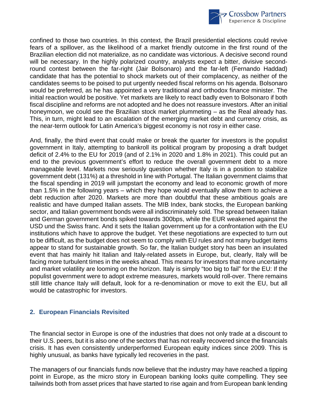

confined to those two countries. In this context, the Brazil presidential elections could revive fears of a spillover, as the likelihood of a market friendly outcome in the first round of the Brazilian election did not materialize, as no candidate was victorious. A decisive second round will be necessary. In the highly polarized country, analysts expect a bitter, divisive secondround contest between the far-right (Jair Bolsonaro) and the far-left (Fernando Haddad) candidate that has the potential to shock markets out of their complacency, as neither of the candidates seems to be poised to put urgently needed fiscal reforms on his agenda. Bolsonaro would be preferred, as he has appointed a very traditional and orthodox finance minister. The initial reaction would be positive. Yet markets are likely to react badly even to Bolsonaro if both fiscal discipline and reforms are not adopted and he does not reassure investors. After an initial honeymoon, we could see the Brazilian stock market plummeting – as the Real already has. This, in turn, might lead to an escalation of the emerging market debt and currency crisis, as the near-term outlook for Latin America's biggest economy is not rosy in either case.

And, finally, the third event that could make or break the quarter for investors is the populist government in Italy, attempting to bankroll its political program by proposing a draft budget deficit of 2.4% to the EU for 2019 (and of 2.1% in 2020 and 1.8% in 2021). This could put an end to the previous government's effort to reduce the overall government debt to a more manageable level. Markets now seriously question whether Italy is in a position to stabilize government debt (131%) at a threshold in line with Portugal. The Italian government claims that the fiscal spending in 2019 will jumpstart the economy and lead to economic growth of more than 1.5% in the following years – which they hope would eventually allow them to achieve a debt reduction after 2020. Markets are more than doubtful that these ambitious goals are realistic and have dumped Italian assets. The MIB Index, bank stocks, the European banking sector, and Italian government bonds were all indiscriminately sold. The spread between Italian and German government bonds spiked towards 300bps, while the EUR weakened against the USD und the Swiss franc. And it sets the Italian government up for a confrontation with the EU institutions which have to approve the budget. Yet these negotiations are expected to turn out to be difficult, as the budget does not seem to comply with EU rules and not many budget items appear to stand for sustainable growth. So far, the Italian budget story has been an insulated event that has mainly hit Italian and Italy-related assets in Europe, but, clearly, Italy will be facing more turbulent times in the weeks ahead. This means for investors that more uncertainty and market volatility are looming on the horizon. Italy is simply "too big to fail" for the EU: If the populist government were to adopt extreme measures, markets would roll-over. There remains still little chance Italy will default, look for a re-denomination or move to exit the EU, but all would be catastrophic for investors.

#### **2. European Financials Revisited**

The financial sector in Europe is one of the industries that does not only trade at a discount to their U.S. peers, but it is also one of the sectors that has not really recovered since the financials crisis. It has even consistently underperformed European equity indices since 2009. This is highly unusual, as banks have typically led recoveries in the past.

The managers of our financials funds now believe that the industry may have reached a tipping point in Europe, as the micro story in European banking looks quite compelling. They see tailwinds both from asset prices that have started to rise again and from European bank lending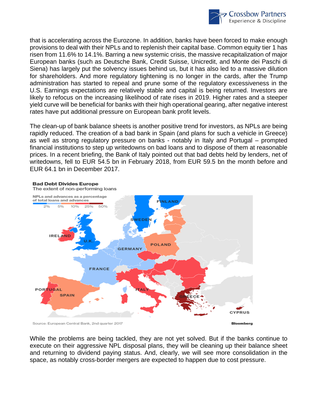

that is accelerating across the Eurozone. In addition, banks have been forced to make enough provisions to deal with their NPLs and to replenish their capital base. Common equity tier 1 has risen from 11.6% to 14.1%. Barring a new systemic crisis, the massive recapitalization of major European banks (such as Deutsche Bank, Credit Suisse, Unicredit, and Monte dei Paschi di Siena) has largely put the solvency issues behind us, but it has also led to a massive dilution for shareholders. And more regulatory tightening is no longer in the cards, after the Trump administration has started to repeal and prune some of the regulatory excessiveness in the U.S. Earnings expectations are relatively stable and capital is being returned. Investors are likely to refocus on the increasing likelihood of rate rises in 2019. Higher rates and a steeper yield curve will be beneficial for banks with their high operational gearing, after negative interest rates have put additional pressure on European bank profit levels.

The clean-up of bank balance sheets is another positive trend for investors, as NPLs are being rapidly reduced. The creation of a bad bank in Spain (and plans for such a vehicle in Greece) as well as strong regulatory pressure on banks - notably in Italy and Portugal – prompted financial institutions to step up writedowns on bad loans and to dispose of them at reasonable prices. In a recent briefing, the Bank of Italy pointed out that bad debts held by lenders, net of writedowns, fell to EUR 54.5 bn in February 2018, from EUR 59.5 bn the month before and EUR 64.1 bn in December 2017.



#### **Bad Debt Divides Europe**

The extent of non-performing loans

Source: European Central Bank, 2nd quarter 2017

**Bloomberg** 

While the problems are being tackled, they are not yet solved. But if the banks continue to execute on their aggressive NPL disposal plans, they will be cleaning up their balance sheet and returning to dividend paying status. And, clearly, we will see more consolidation in the space, as notably cross-border mergers are expected to happen due to cost pressure.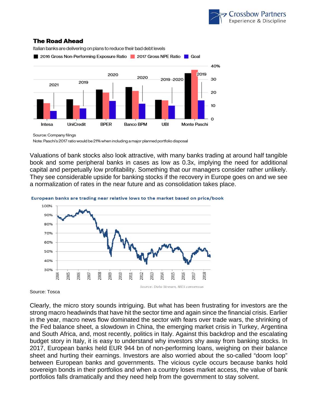

#### **The Road Ahead**



Italian banks are delivering on plans to reduce their bad debt levels

Source: Company filings

Note: Paschi's 2017 ratio would be 21% when including a major planned portfolio disposal

Valuations of bank stocks also look attractive, with many banks trading at around half tangible book and some peripheral banks in cases as low as 0.3x, implying the need for additional capital and perpetually low profitability. Something that our managers consider rather unlikely. They see considerable upside for banking stocks if the recovery in Europe goes on and we see a normalization of rates in the near future and as consolidation takes place.



#### European banks are trading near relative lows to the market based on price/book

Source: Tosca

Clearly, the micro story sounds intriguing. But what has been frustrating for investors are the strong macro headwinds that have hit the sector time and again since the financial crisis. Earlier in the year, macro news flow dominated the sector with fears over trade wars, the shrinking of the Fed balance sheet, a slowdown in China, the emerging market crisis in Turkey, Argentina and South Africa, and, most recently, politics in Italy. Against this backdrop and the escalating budget story in Italy, it is easy to understand why investors shy away from banking stocks. In 2017, European banks held EUR 944 bn of non-performing loans, weighing on their balance sheet and hurting their earnings. Investors are also worried about the so-called "doom loop" between European banks and governments. The vicious cycle occurs because banks hold sovereign bonds in their portfolios and when a country loses market access, the value of bank portfolios falls dramatically and they need help from the government to stay solvent.